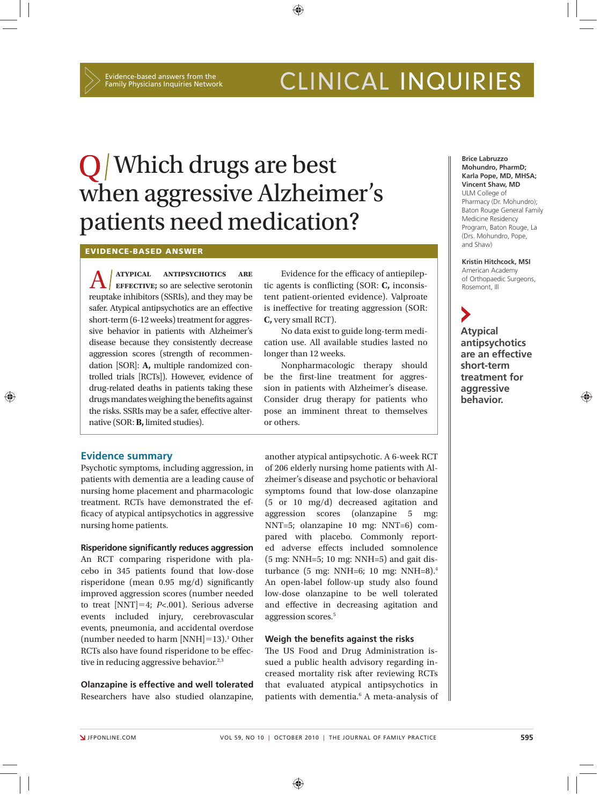## CLINICAL INQUIRIES

# Q Which drugs are best when aggressive Alzheimer's patients need medication?

**EVIDENCE-BASED ANSWER**

A **atypical antipsychotics are effective;** so are selective serotonin reuptake inhibitors (SSRIs), and they may be safer. Atypical antipsychotics are an effective short-term (6-12 weeks) treatment for aggressive behavior in patients with Alzheimer's disease because they consistently decrease aggression scores (strength of recommendation [SOR]: **A,** multiple randomized controlled trials [RCTs]). However, evidence of drug-related deaths in patients taking these drugs mandates weighing the benefits against the risks. SSRIs may be a safer, effective alternative (SOR: **B,** limited studies).

#### **Evidence summary**

Psychotic symptoms, including aggression, in patients with dementia are a leading cause of nursing home placement and pharmacologic treatment. RCTs have demonstrated the efficacy of atypical antipsychotics in aggressive nursing home patients.

#### **Risperidone significantly reduces aggression**

An RCT comparing risperidone with placebo in 345 patients found that low-dose risperidone (mean  $0.95 \text{ mg/d}$ ) significantly improved aggression scores (number needed to treat [NNT]-4; *P<*.001). Serious adverse events included injury, cerebrovascular events, pneumonia, and accidental overdose  $(number needed to harm [NNH]=13).$ <sup>1</sup> Other RCTs also have found risperidone to be effective in reducing aggressive behavior.<sup>2,3</sup>

**Olanzapine is effective and well tolerated** Researchers have also studied olanzapine,

Evidence for the efficacy of antiepileptic agents is conflicting (SOR: C, inconsistent patient-oriented evidence). Valproate is ineffective for treating aggression (SOR: **C,** very small RCT).

No data exist to guide long-term medication use. All available studies lasted no longer than 12 weeks.

Nonpharmacologic therapy should be the first-line treatment for aggression in patients with Alzheimer's disease. Consider drug therapy for patients who pose an imminent threat to themselves or others.

another atypical antipsychotic. A 6-week RCT of 206 elderly nursing home patients with Alzheimer's disease and psychotic or behavioral symptoms found that low-dose olanzapine (5 or 10 mg/d) decreased agitation and aggression scores (olanzapine 5 mg: NNT=5; olanzapine 10 mg: NNT=6) compared with placebo. Commonly reported adverse effects included somnolence (5 mg: NNH=5; 10 mg: NNH=5) and gait disturbance (5 mg: NNH=6; 10 mg: NNH=8).4 An open-label follow-up study also found low-dose olanzapine to be well tolerated and effective in decreasing agitation and aggression scores.5

#### **Weigh the benefits against the risks**

The US Food and Drug Administration issued a public health advisory regarding increased mortality risk after reviewing RCTs that evaluated atypical antipsychotics in patients with dementia.<sup>6</sup> A meta-analysis of

**Brice Labruzzo Mohundro, PharmD; Karla Pope, MD, MHSA; Vincent Shaw, MD** ULM College of Pharmacy (Dr. Mohundro); Baton Rouge General Family Medicine Residency Program, Baton Rouge, La (Drs. Mohundro, Pope, and Shaw)

**Kristin Hitchcock, MSI** American Academy of Orthopaedic Surgeons, Rosemont, Ill

**Atypical antipsychotics are an effective short-term treatment for aggressive behavior.** 

⊕

⊕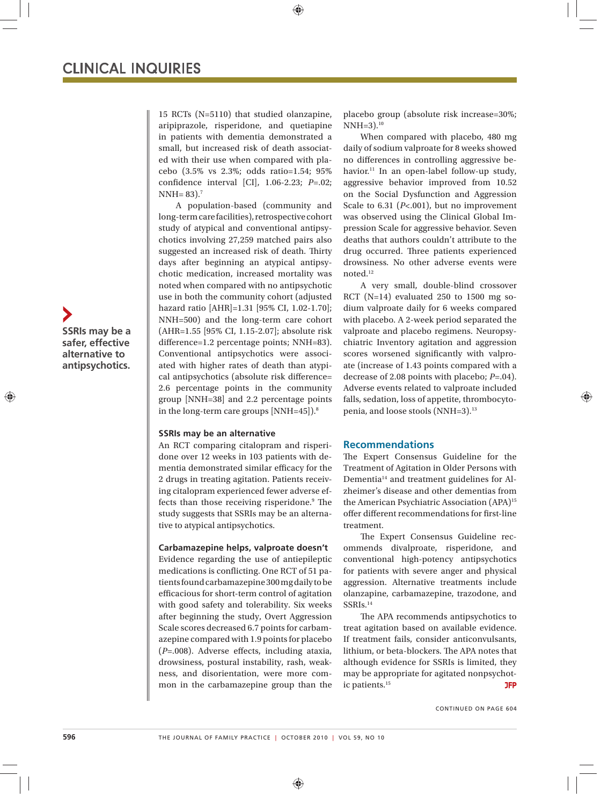15 RCTs (N=5110) that studied olanzapine, aripiprazole, risperidone, and quetiapine in patients with dementia demonstrated a small, but increased risk of death associated with their use when compared with placebo (3.5% vs 2.3%; odds ratio=1.54; 95% confidence interval [CI], 1.06-2.23; *P*=.02;  $NNH = 83$ ).<sup>7</sup>

⊕

A population-based (community and long-term care facilities), retrospective cohort study of atypical and conventional antipsychotics involving 27,259 matched pairs also suggested an increased risk of death. Thirty days after beginning an atypical antipsychotic medication, increased mortality was noted when compared with no antipsychotic use in both the community cohort (adjusted hazard ratio [AHR]=1.31 [95% CI, 1.02-1.70]; NNH=500) and the long-term care cohort (AHR=1.55 [95% CI, 1.15-2.07]; absolute risk difference=1.2 percentage points; NNH=83). Conventional antipsychotics were associated with higher rates of death than atypical antipsychotics (absolute risk difference= 2.6 percentage points in the community group [NNH=38] and 2.2 percentage points in the long-term care groups [NNH=45]).8

#### **SSRIs may be an alternative**

An RCT comparing citalopram and risperidone over 12 weeks in 103 patients with dementia demonstrated similar efficacy for the 2 drugs in treating agitation. Patients receiving citalopram experienced fewer adverse effects than those receiving risperidone.<sup>9</sup> The study suggests that SSRIs may be an alternative to atypical antipsychotics.

#### **Carbamazepine helps, valproate doesn't**

Evidence regarding the use of antiepileptic medications is conflicting. One RCT of 51 patients found carbamazepine 300 mg daily to be efficacious for short-term control of agitation with good safety and tolerability. Six weeks after beginning the study, Overt Aggression Scale scores decreased 6.7 points for carbamazepine compared with 1.9 points for placebo ( $P=.008$ ). Adverse effects, including ataxia, drowsiness, postural instability, rash, weakness, and disorientation, were more common in the carbamazepine group than the placebo group (absolute risk increase=30%;  $NNH=3$ ).<sup>10</sup>

When compared with placebo, 480 mg daily of sodium valproate for 8 weeks showed no differences in controlling aggressive behavior.<sup>11</sup> In an open-label follow-up study, aggressive behavior improved from 10.52 on the Social Dysfunction and Aggression Scale to 6.31 (*P<*.001), but no improvement was observed using the Clinical Global Impression Scale for aggressive behavior. Seven deaths that authors couldn't attribute to the drug occurred. Three patients experienced drowsiness. No other adverse events were noted.12

A very small, double-blind crossover RCT (N=14) evaluated 250 to 1500 mg sodium valproate daily for 6 weeks compared with placebo. A 2-week period separated the valproate and placebo regimens. Neuropsychiatric Inventory agitation and aggression scores worsened significantly with valproate (increase of 1.43 points compared with a decrease of 2.08 points with placebo; *P=*.04). Adverse events related to valproate included falls, sedation, loss of appetite, thrombocytopenia, and loose stools (NNH=3).13

♠

#### **Recommendations**

The Expert Consensus Guideline for the Treatment of Agitation in Older Persons with Dementia14 and treatment guidelines for Alzheimer's disease and other dementias from the American Psychiatric Association (APA)15 offer different recommendations for first-line treatment.

The Expert Consensus Guideline recommends divalproate, risperidone, and conventional high-potency antipsychotics for patients with severe anger and physical aggression. Alternative treatments include olanzapine, carbamazepine, trazodone, and SSRIs.14

The APA recommends antipsychotics to treat agitation based on available evidence. If treatment fails, consider anticonvulsants, lithium, or beta-blockers. The APA notes that although evidence for SSRIs is limited, they may be appropriate for agitated nonpsychotic patients.<sup>15</sup> **JFP** 

CONTINUED ON PAGE 604

**SSRIs may be a safer, effective alternative to antipsychotics.**